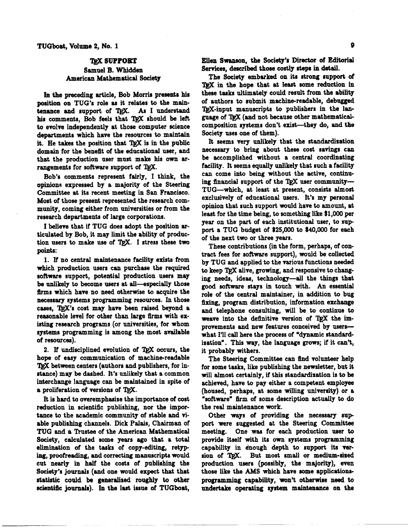## **TRX SUPPORT** Samuel B. Whidden American Mathematical Society

**In** the preceding article, Bob Morris presents **his**  position on TUG's role as it relates to the maintenance and support of TEX. As I understand his comments, Bob feels that TgX should be left to evolve independently at those computer science departments which hava the resources to maintain it. He takes the position that TEX is in the public domain for the benefit of the educational user, and that the production user must make his own arrangements for software support of TEX.

Bob's comments represent fairly, I think, the opinions expressed by a majority of the Steering Committee at its recent meeting in San Francisco. Most of those present represented the research community, coming either from universities or from the research departments of large corporations.

I believe that if TUG does adopt the position articulated by Bob, it may limit the ability of production users to make use of TEX. I stress these two points:

1. **If** no central maintenance facility exists from which production users can purchase the required software support, potential production users may be unlikely to become users at all-especially those fitms which have no need otherwise to acquire the necessary systems programming resources. In those cases, TEX's cost may have been raised beyond a reasonable level for other than large firms with existing research programs (or universities, for whom systems programming is among the most available **of** resources).

2. If undisciplined evolution of TEX occurs, the hope of easy communication of machine-readable TEX between centers (authors and publishers, for instance) may be dashed. It's unlikely that a common interchange language can be maintained in spite of a proliferation of versions of TEX.

It is hard to overemphasize the importance **of** cost reduction in scientific publishing, nor the importance to the academic community of stable and **vi**able publishing channels. Dick Palais, Chairman of TUG and a Trustee of the American Mathematical Society, calculated some years ago that a total elimination of the tasks of copy-editing, retyping, proofreading, and correcting manuscripts would cut nearly in half the costs of publishing the Society's journals (and one would expect that that statistic could be generalized roughly to other scientific journals). In the last issue of TUGboat, Ellen Swanson, the Society's Director **of Editorial Services,** described those costly steps in detail.

The Society embarked on its strong support of TRX in the hope that at least some reduction in these tasks ultimately could result from the ability of authors to submit machine-readable, debugged TRX-input manuscripts to publishers in the language of 'QjX (and not because other mathematicalcomposition systems don't exist-they do, and the Society uses one of them).

It seems very unlikely that the standardization necessary to bring about these cost savings can be accomplished without a central coordinating facility. It seems equally unlikely that such a facility can come into being without the active, continuing financial support of the  $T_{EX}$  user community--TUG--which, at least at present, consists almost exclusively of educational users. It's my personal opinion that such support would have to amount, at least for the time being, to something like \$1,000 per year on the part of each institutional user, to sup port a TUG budget of \$25,000 to \$40,000 for each of the next **two** or three years.

These contributions (in the form, perhaps, of contract fees for software support), would be collected by TUG and applied to the various functions needed to keep TgX alive, growing, and responsive to changing needs, ideas, technology-all the things that good software stays in touch with. An essential role of the central maintainer, in addition to **bug**  fixing, program distribution, information exchange and telephone consulting, will be to continue to weave into the definitive version of  $T_{F}X$  the improvements and new features conceived by userswhat I'll call here the process of "dynamic standardization". This way, the language grows; if it can't, it probably withers.

The Steering Committee can flnd volunteer help for some tasks, like publishing the newsletter, but it will almost certainly, if this standardiration is to be achieved, have to pay either a competent employee (housed, perhaps, at some willing university) or a 'software" &m of some description actually to do the real maintenance work.

Other ways of providing the necessary sup port were suggested at the Steering Committee meeting. One **was** for each production user **to**  provide itself with its own systems programming capability in dnough depth to support its ver-<br>
sion of T<sub>E</sub>X. But most small or medium-sixed production users (possibb, the majority), **even**  those like the AMS which have some applicationsprogramming capability, **won't** otherwise need to undertake operating system maintenance on the